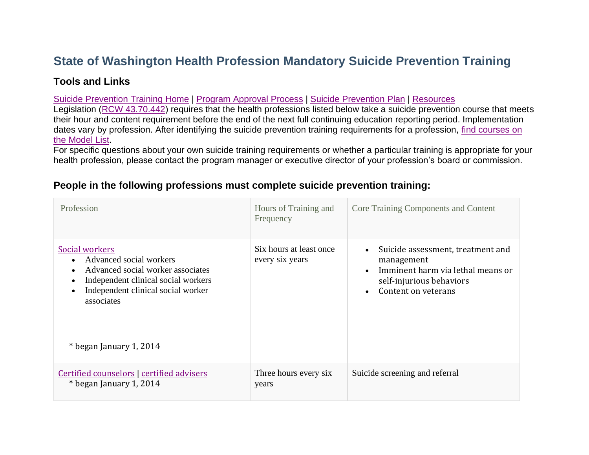# **State of Washington Health Profession Mandatory Suicide Prevention Training**

## **Tools and Links**

### Suicide [Prevention](https://www.doh.wa.gov/ForPublicHealthandHealthcareProviders/HealthcareProfessionsandFacilities/SuicidePrevention) Training Home | Program [Approval](https://www.doh.wa.gov/ForPublicHealthandHealthcareProviders/HealthcareProfessionsandFacilities/SuicidePrevention/TrainingPrograms) Process | Suicide [Prevention](https://www.doh.wa.gov/Portals/1/Documents/Pubs/631-058-SuicidePrevPlan.pdf) Plan | [Resources](https://www.doh.wa.gov/YouandYourFamily/InjuryandViolencePrevention/SuicidePrevention/Workplace)

Legislation (RCW [43.70.442\)](https://app.leg.wa.gov/rcw/default.aspx?cite=43.70.442) requires that the health professions listed below take a suicide prevention course that meets their hour and content requirement before the end of the next full continuing education reporting period. Implementation dates vary by profession. After identifying the suicide prevention training requirements for a profession, find [courses](https://www.doh.wa.gov/ForPublicHealthandHealthcareProviders/HealthcareProfessionsandFacilities/SuicidePrevention/TrainingPrograms/ModelList) on the [Model](https://www.doh.wa.gov/ForPublicHealthandHealthcareProviders/HealthcareProfessionsandFacilities/SuicidePrevention/TrainingPrograms/ModelList) List.

For specific questions about your own suicide training requirements or whether a particular training is appropriate for your health profession, please contact the program manager or executive director of your profession's board or commission.

#### Profession Hours of Training and Frequency Core Training Components and Content Social [workers](https://www.doh.wa.gov/LicensesPermitsandCertificates/ProfessionsNewReneworUpdate/SocialWorker) • Advanced social workers • Advanced social worker associates • Independent clinical social workers • Independent clinical social worker associates \* began January 1, 2014 Six hours at least once every six years • Suicide assessment, treatment and management • Imminent harm via lethal means or self-injurious behaviors • Content on veterans Certified [counselors](https://www.doh.wa.gov/LicensesPermitsandCertificates/ProfessionsNewReneworUpdate/CertifiedCounselor) | [certified](https://www.doh.wa.gov/LicensesPermitsandCertificates/ProfessionsNewReneworUpdate/CertifiedAdviser) advisers \* began January 1, 2014 Three hours every six years Suicide screening and referral

## **People in the following professions must complete suicide prevention training:**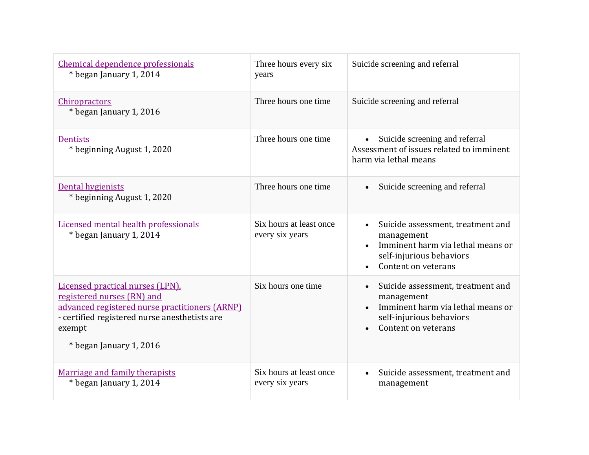| Chemical dependence professionals<br>* began January 1, 2014                                                                                                                                           | Three hours every six<br>years             | Suicide screening and referral                                                                                                                                    |
|--------------------------------------------------------------------------------------------------------------------------------------------------------------------------------------------------------|--------------------------------------------|-------------------------------------------------------------------------------------------------------------------------------------------------------------------|
| <b>Chiropractors</b><br>* began January 1, 2016                                                                                                                                                        | Three hours one time                       | Suicide screening and referral                                                                                                                                    |
| <b>Dentists</b><br>* beginning August 1, 2020                                                                                                                                                          | Three hours one time                       | Suicide screening and referral<br>$\bullet$<br>Assessment of issues related to imminent<br>harm via lethal means                                                  |
| Dental hygienists<br>* beginning August 1, 2020                                                                                                                                                        | Three hours one time                       | Suicide screening and referral<br>$\bullet$                                                                                                                       |
| Licensed mental health professionals<br>* began January 1, 2014                                                                                                                                        | Six hours at least once<br>every six years | Suicide assessment, treatment and<br>$\bullet$<br>management<br>Imminent harm via lethal means or<br>self-injurious behaviors<br>Content on veterans<br>$\bullet$ |
| Licensed practical nurses (LPN).<br>registered nurses (RN) and<br>advanced registered nurse practitioners (ARNP)<br>- certified registered nurse anesthetists are<br>exempt<br>* began January 1, 2016 | Six hours one time                         | Suicide assessment, treatment and<br>$\bullet$<br>management<br>Imminent harm via lethal means or<br>self-injurious behaviors<br>Content on veterans              |
| Marriage and family therapists<br>* began January 1, 2014                                                                                                                                              | Six hours at least once<br>every six years | Suicide assessment, treatment and<br>$\bullet$<br>management                                                                                                      |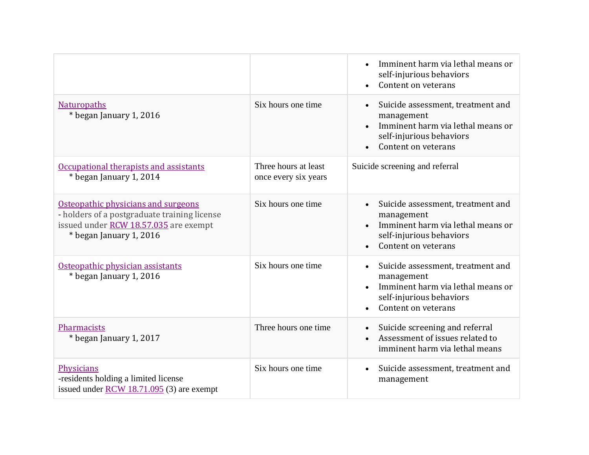|                                                                                                                                                         |                                              | Imminent harm via lethal means or<br>$\bullet$<br>self-injurious behaviors<br>Content on veterans                                                                 |
|---------------------------------------------------------------------------------------------------------------------------------------------------------|----------------------------------------------|-------------------------------------------------------------------------------------------------------------------------------------------------------------------|
| <b>Naturopaths</b><br>* began January 1, 2016                                                                                                           | Six hours one time                           | Suicide assessment, treatment and<br>$\bullet$<br>management<br>Imminent harm via lethal means or<br>self-injurious behaviors<br>Content on veterans<br>$\bullet$ |
| Occupational therapists and assistants<br>* began January 1, 2014                                                                                       | Three hours at least<br>once every six years | Suicide screening and referral                                                                                                                                    |
| Osteopathic physicians and surgeons<br>- holders of a postgraduate training license<br>issued under RCW 18.57.035 are exempt<br>* began January 1, 2016 | Six hours one time                           | Suicide assessment, treatment and<br>management<br>Imminent harm via lethal means or<br>$\bullet$<br>self-injurious behaviors<br>Content on veterans              |
| Osteopathic physician assistants<br>* began January 1, 2016                                                                                             | Six hours one time                           | Suicide assessment, treatment and<br>$\bullet$<br>management<br>Imminent harm via lethal means or<br>self-injurious behaviors<br>Content on veterans<br>$\bullet$ |
| Pharmacists<br>* began January 1, 2017                                                                                                                  | Three hours one time                         | Suicide screening and referral<br>$\bullet$<br>Assessment of issues related to<br>imminent harm via lethal means                                                  |
| Physicians<br>-residents holding a limited license<br>issued under RCW $18.71.095$ (3) are exempt                                                       | Six hours one time                           | Suicide assessment, treatment and<br>$\bullet$<br>management                                                                                                      |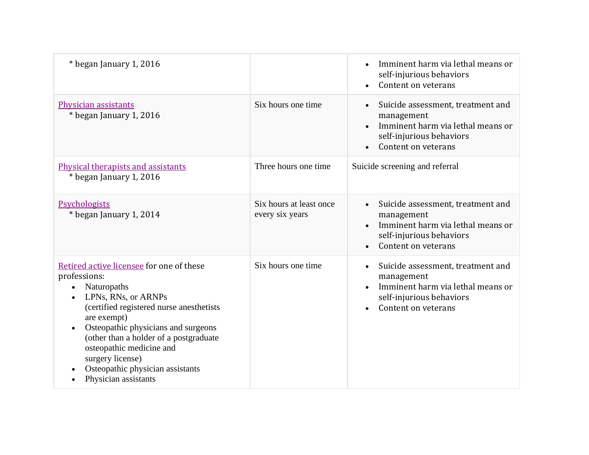| * began January 1, 2016                                                                                                                                                                                                                                                                                                                                                          |                                            | Imminent harm via lethal means or<br>$\bullet$<br>self-injurious behaviors<br>Content on veterans                                                    |
|----------------------------------------------------------------------------------------------------------------------------------------------------------------------------------------------------------------------------------------------------------------------------------------------------------------------------------------------------------------------------------|--------------------------------------------|------------------------------------------------------------------------------------------------------------------------------------------------------|
| Physician assistants<br>* began January 1, 2016                                                                                                                                                                                                                                                                                                                                  | Six hours one time                         | Suicide assessment, treatment and<br>$\bullet$<br>management<br>Imminent harm via lethal means or<br>self-injurious behaviors<br>Content on veterans |
| Physical therapists and assistants<br>* began January 1, 2016                                                                                                                                                                                                                                                                                                                    | Three hours one time                       | Suicide screening and referral                                                                                                                       |
| Psychologists<br>* began January 1, 2014                                                                                                                                                                                                                                                                                                                                         | Six hours at least once<br>every six years | Suicide assessment, treatment and<br>management<br>Imminent harm via lethal means or<br>$\bullet$<br>self-injurious behaviors<br>Content on veterans |
| Retired active licensee for one of these<br>professions:<br>Naturopaths<br>LPNs, RNs, or ARNPs<br>$\bullet$<br>(certified registered nurse anesthetists<br>are exempt)<br>Osteopathic physicians and surgeons<br>$\bullet$<br>(other than a holder of a postgraduate<br>osteopathic medicine and<br>surgery license)<br>Osteopathic physician assistants<br>Physician assistants | Six hours one time                         | Suicide assessment, treatment and<br>management<br>Imminent harm via lethal means or<br>self-injurious behaviors<br>Content on veterans              |